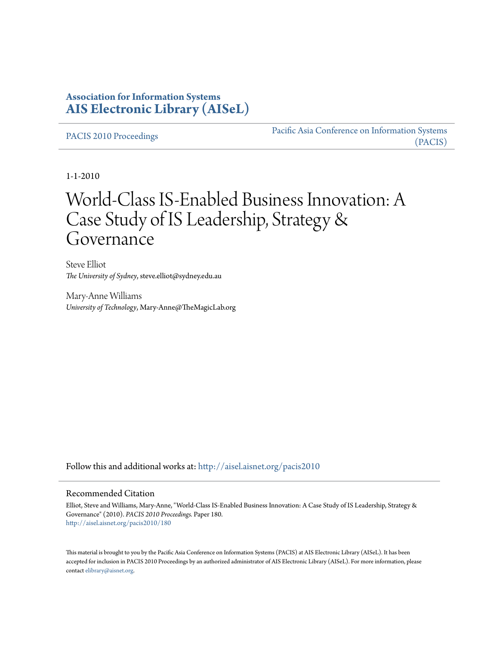## **Association for Information Systems [AIS Electronic Library \(AISeL\)](http://aisel.aisnet.org?utm_source=aisel.aisnet.org%2Fpacis2010%2F180&utm_medium=PDF&utm_campaign=PDFCoverPages)**

[PACIS 2010 Proceedings](http://aisel.aisnet.org/pacis2010?utm_source=aisel.aisnet.org%2Fpacis2010%2F180&utm_medium=PDF&utm_campaign=PDFCoverPages)

[Pacific Asia Conference on Information Systems](http://aisel.aisnet.org/pacis?utm_source=aisel.aisnet.org%2Fpacis2010%2F180&utm_medium=PDF&utm_campaign=PDFCoverPages) [\(PACIS\)](http://aisel.aisnet.org/pacis?utm_source=aisel.aisnet.org%2Fpacis2010%2F180&utm_medium=PDF&utm_campaign=PDFCoverPages)

1-1-2010

# World-Class IS-Enabled Business Innovation: A Case Study of IS Leadership, Strategy & Governance

Steve Elliot *The University of Sydney*, steve.elliot@sydney.edu.au

Mary-Anne Williams *University of Technology*, Mary-Anne@TheMagicLab.org

Follow this and additional works at: [http://aisel.aisnet.org/pacis2010](http://aisel.aisnet.org/pacis2010?utm_source=aisel.aisnet.org%2Fpacis2010%2F180&utm_medium=PDF&utm_campaign=PDFCoverPages)

#### Recommended Citation

Elliot, Steve and Williams, Mary-Anne, "World-Class IS-Enabled Business Innovation: A Case Study of IS Leadership, Strategy & Governance" (2010). *PACIS 2010 Proceedings.* Paper 180. [http://aisel.aisnet.org/pacis2010/180](http://aisel.aisnet.org/pacis2010/180?utm_source=aisel.aisnet.org%2Fpacis2010%2F180&utm_medium=PDF&utm_campaign=PDFCoverPages)

This material is brought to you by the Pacific Asia Conference on Information Systems (PACIS) at AIS Electronic Library (AISeL). It has been accepted for inclusion in PACIS 2010 Proceedings by an authorized administrator of AIS Electronic Library (AISeL). For more information, please contact [elibrary@aisnet.org.](mailto:elibrary@aisnet.org>)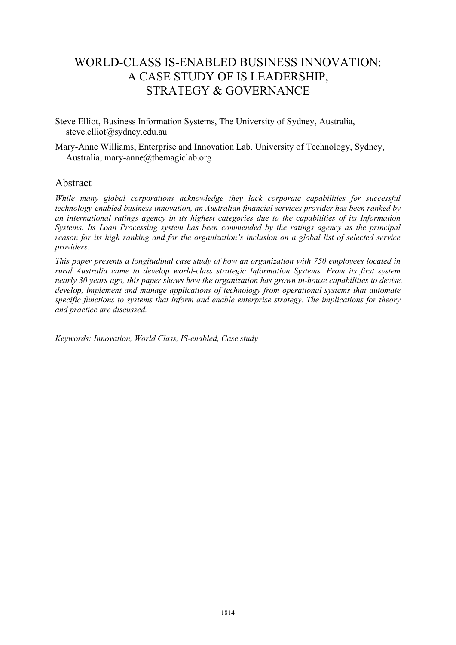## WORLD-CLASS IS-ENABLED BUSINESS INNOVATION: A CASE STUDY OF IS LEADERSHIP, STRATEGY & GOVERNANCE

Steve Elliot, Business Information Systems, The University of Sydney, Australia, steve.elliot@sydney.edu.au

Mary-Anne Williams, Enterprise and Innovation Lab. University of Technology, Sydney, Australia, mary-anne@themagiclab.org

#### Abstract

*While many global corporations acknowledge they lack corporate capabilities for successful technology-enabled business innovation, an Australian financial services provider has been ranked by an international ratings agency in its highest categories due to the capabilities of its Information Systems. Its Loan Processing system has been commended by the ratings agency as the principal reason for its high ranking and for the organization's inclusion on a global list of selected service providers.* 

*This paper presents a longitudinal case study of how an organization with 750 employees located in rural Australia came to develop world-class strategic Information Systems. From its first system nearly 30 years ago, this paper shows how the organization has grown in-house capabilities to devise, develop, implement and manage applications of technology from operational systems that automate specific functions to systems that inform and enable enterprise strategy. The implications for theory and practice are discussed.* 

*Keywords: Innovation, World Class, IS-enabled, Case study*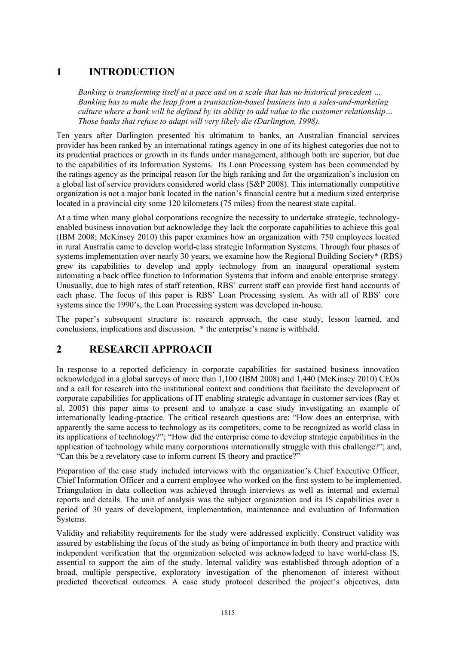## **1 INTRODUCTION**

*Banking is transforming itself at a pace and on a scale that has no historical precedent … Banking has to make the leap from a transaction-based business into a sales-and-marketing culture where a bank will be defined by its ability to add value to the customer relationship… Those banks that refuse to adapt will very likely die (Darlington, 1998).* 

Ten years after Darlington presented his ultimatum to banks, an Australian financial services provider has been ranked by an international ratings agency in one of its highest categories due not to its prudential practices or growth in its funds under management, although both are superior, but due to the capabilities of its Information Systems. Its Loan Processing system has been commended by the ratings agency as the principal reason for the high ranking and for the organization's inclusion on a global list of service providers considered world class (S&P 2008). This internationally competitive organization is not a major bank located in the nation's financial centre but a medium sized enterprise located in a provincial city some 120 kilometers (75 miles) from the nearest state capital.

At a time when many global corporations recognize the necessity to undertake strategic, technologyenabled business innovation but acknowledge they lack the corporate capabilities to achieve this goal (IBM 2008; McKinsey 2010) this paper examines how an organization with 750 employees located in rural Australia came to develop world-class strategic Information Systems. Through four phases of systems implementation over nearly 30 years, we examine how the Regional Building Society\* (RBS) grew its capabilities to develop and apply technology from an inaugural operational system automating a back office function to Information Systems that inform and enable enterprise strategy. Unusually, due to high rates of staff retention, RBS' current staff can provide first hand accounts of each phase. The focus of this paper is RBS' Loan Processing system. As with all of RBS' core systems since the 1990's, the Loan Processing system was developed in-house.

The paper's subsequent structure is: research approach, the case study, lesson learned, and conclusions, implications and discussion. \* the enterprise's name is withheld.

## **2 RESEARCH APPROACH**

In response to a reported deficiency in corporate capabilities for sustained business innovation acknowledged in a global surveys of more than 1,100 (IBM 2008) and 1,440 (McKinsey 2010) CEOs and a call for research into the institutional context and conditions that facilitate the development of corporate capabilities for applications of IT enabling strategic advantage in customer services (Ray et al. 2005) this paper aims to present and to analyze a case study investigating an example of internationally leading-practice. The critical research questions are: "How does an enterprise, with apparently the same access to technology as its competitors, come to be recognized as world class in its applications of technology?"; "How did the enterprise come to develop strategic capabilities in the application of technology while many corporations internationally struggle with this challenge?"; and, "Can this be a revelatory case to inform current IS theory and practice?"

Preparation of the case study included interviews with the organization's Chief Executive Officer, Chief Information Officer and a current employee who worked on the first system to be implemented. Triangulation in data collection was achieved through interviews as well as internal and external reports and details. The unit of analysis was the subject organization and its IS capabilities over a period of 30 years of development, implementation, maintenance and evaluation of Information Systems.

Validity and reliability requirements for the study were addressed explicitly. Construct validity was assured by establishing the focus of the study as being of importance in both theory and practice with independent verification that the organization selected was acknowledged to have world-class IS, essential to support the aim of the study. Internal validity was established through adoption of a broad, multiple perspective, exploratory investigation of the phenomenon of interest without predicted theoretical outcomes. A case study protocol described the project's objectives, data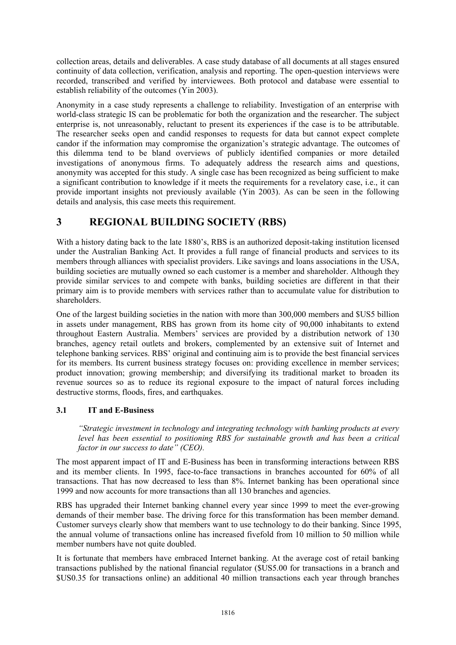collection areas, details and deliverables. A case study database of all documents at all stages ensured continuity of data collection, verification, analysis and reporting. The open-question interviews were recorded, transcribed and verified by interviewees. Both protocol and database were essential to establish reliability of the outcomes (Yin 2003).

Anonymity in a case study represents a challenge to reliability. Investigation of an enterprise with world-class strategic IS can be problematic for both the organization and the researcher. The subject enterprise is, not unreasonably, reluctant to present its experiences if the case is to be attributable. The researcher seeks open and candid responses to requests for data but cannot expect complete candor if the information may compromise the organization's strategic advantage. The outcomes of this dilemma tend to be bland overviews of publicly identified companies or more detailed investigations of anonymous firms. To adequately address the research aims and questions, anonymity was accepted for this study. A single case has been recognized as being sufficient to make a significant contribution to knowledge if it meets the requirements for a revelatory case, i.e., it can provide important insights not previously available (Yin 2003). As can be seen in the following details and analysis, this case meets this requirement.

## **3 REGIONAL BUILDING SOCIETY (RBS)**

With a history dating back to the late 1880's, RBS is an authorized deposit-taking institution licensed under the Australian Banking Act. It provides a full range of financial products and services to its members through alliances with specialist providers. Like savings and loans associations in the USA, building societies are mutually owned so each customer is a member and shareholder. Although they provide similar services to and compete with banks, building societies are different in that their primary aim is to provide members with services rather than to accumulate value for distribution to shareholders.

One of the largest building societies in the nation with more than 300,000 members and \$US5 billion in assets under management, RBS has grown from its home city of 90,000 inhabitants to extend throughout Eastern Australia. Members' services are provided by a distribution network of 130 branches, agency retail outlets and brokers, complemented by an extensive suit of Internet and telephone banking services. RBS' original and continuing aim is to provide the best financial services for its members. Its current business strategy focuses on: providing excellence in member services; product innovation; growing membership; and diversifying its traditional market to broaden its revenue sources so as to reduce its regional exposure to the impact of natural forces including destructive storms, floods, fires, and earthquakes.

#### **3.1 IT and E-Business**

*"Strategic investment in technology and integrating technology with banking products at every level has been essential to positioning RBS for sustainable growth and has been a critical factor in our success to date" (CEO).* 

The most apparent impact of IT and E-Business has been in transforming interactions between RBS and its member clients. In 1995, face-to-face transactions in branches accounted for 60% of all transactions. That has now decreased to less than 8%. Internet banking has been operational since 1999 and now accounts for more transactions than all 130 branches and agencies.

RBS has upgraded their Internet banking channel every year since 1999 to meet the ever-growing demands of their member base. The driving force for this transformation has been member demand. Customer surveys clearly show that members want to use technology to do their banking. Since 1995, the annual volume of transactions online has increased fivefold from 10 million to 50 million while member numbers have not quite doubled.

It is fortunate that members have embraced Internet banking. At the average cost of retail banking transactions published by the national financial regulator (\$US5.00 for transactions in a branch and \$US0.35 for transactions online) an additional 40 million transactions each year through branches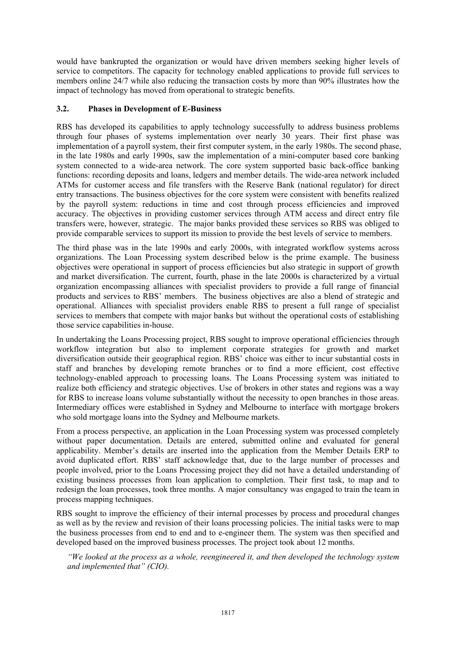would have bankrupted the organization or would have driven members seeking higher levels of service to competitors. The capacity for technology enabled applications to provide full services to members online 24/7 while also reducing the transaction costs by more than 90% illustrates how the impact of technology has moved from operational to strategic benefits.

#### **3.2. Phases in Development of E-Business**

RBS has developed its capabilities to apply technology successfully to address business problems through four phases of systems implementation over nearly 30 years. Their first phase was implementation of a payroll system, their first computer system, in the early 1980s. The second phase, in the late 1980s and early 1990s, saw the implementation of a mini-computer based core banking system connected to a wide-area network. The core system supported basic back-office banking functions: recording deposits and loans, ledgers and member details. The wide-area network included ATMs for customer access and file transfers with the Reserve Bank (national regulator) for direct entry transactions. The business objectives for the core system were consistent with benefits realized by the payroll system: reductions in time and cost through process efficiencies and improved accuracy. The objectives in providing customer services through ATM access and direct entry file transfers were, however, strategic. The major banks provided these services so RBS was obliged to provide comparable services to support its mission to provide the best levels of service to members.

The third phase was in the late 1990s and early 2000s, with integrated workflow systems across organizations. The Loan Processing system described below is the prime example. The business objectives were operational in support of process efficiencies but also strategic in support of growth and market diversification. The current, fourth, phase in the late 2000s is characterized by a virtual organization encompassing alliances with specialist providers to provide a full range of financial products and services to RBS' members. The business objectives are also a blend of strategic and operational. Alliances with specialist providers enable RBS to present a full range of specialist services to members that compete with major banks but without the operational costs of establishing those service capabilities in-house.

In undertaking the Loans Processing project, RBS sought to improve operational efficiencies through workflow integration but also to implement corporate strategies for growth and market diversification outside their geographical region. RBS' choice was either to incur substantial costs in staff and branches by developing remote branches or to find a more efficient, cost effective technology-enabled approach to processing loans. The Loans Processing system was initiated to realize both efficiency and strategic objectives. Use of brokers in other states and regions was a way for RBS to increase loans volume substantially without the necessity to open branches in those areas. Intermediary offices were established in Sydney and Melbourne to interface with mortgage brokers who sold mortgage loans into the Sydney and Melbourne markets.

From a process perspective, an application in the Loan Processing system was processed completely without paper documentation. Details are entered, submitted online and evaluated for general applicability. Member's details are inserted into the application from the Member Details ERP to avoid duplicated effort. RBS' staff acknowledge that, due to the large number of processes and people involved, prior to the Loans Processing project they did not have a detailed understanding of existing business processes from loan application to completion. Their first task, to map and to redesign the loan processes, took three months. A major consultancy was engaged to train the team in process mapping techniques.

RBS sought to improve the efficiency of their internal processes by process and procedural changes as well as by the review and revision of their loans processing policies. The initial tasks were to map the business processes from end to end and to e-engineer them. The system was then specified and developed based on the improved business processes. The project took about 12 months.

*"We looked at the process as a whole, reengineered it, and then developed the technology system and implemented that" (CIO).*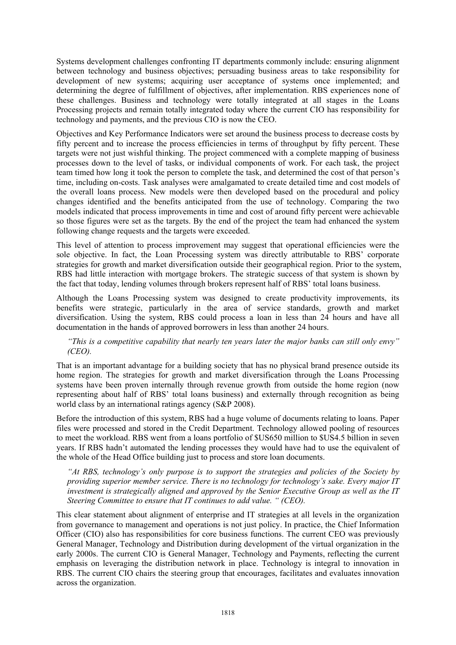Systems development challenges confronting IT departments commonly include: ensuring alignment between technology and business objectives; persuading business areas to take responsibility for development of new systems; acquiring user acceptance of systems once implemented; and determining the degree of fulfillment of objectives, after implementation. RBS experiences none of these challenges. Business and technology were totally integrated at all stages in the Loans Processing projects and remain totally integrated today where the current CIO has responsibility for technology and payments, and the previous CIO is now the CEO.

Objectives and Key Performance Indicators were set around the business process to decrease costs by fifty percent and to increase the process efficiencies in terms of throughput by fifty percent. These targets were not just wishful thinking. The project commenced with a complete mapping of business processes down to the level of tasks, or individual components of work. For each task, the project team timed how long it took the person to complete the task, and determined the cost of that person's time, including on-costs. Task analyses were amalgamated to create detailed time and cost models of the overall loans process. New models were then developed based on the procedural and policy changes identified and the benefits anticipated from the use of technology. Comparing the two models indicated that process improvements in time and cost of around fifty percent were achievable so those figures were set as the targets. By the end of the project the team had enhanced the system following change requests and the targets were exceeded.

This level of attention to process improvement may suggest that operational efficiencies were the sole objective. In fact, the Loan Processing system was directly attributable to RBS' corporate strategies for growth and market diversification outside their geographical region. Prior to the system, RBS had little interaction with mortgage brokers. The strategic success of that system is shown by the fact that today, lending volumes through brokers represent half of RBS' total loans business.

Although the Loans Processing system was designed to create productivity improvements, its benefits were strategic, particularly in the area of service standards, growth and market diversification. Using the system, RBS could process a loan in less than 24 hours and have all documentation in the hands of approved borrowers in less than another 24 hours.

*"This is a competitive capability that nearly ten years later the major banks can still only envy" (CEO).* 

That is an important advantage for a building society that has no physical brand presence outside its home region. The strategies for growth and market diversification through the Loans Processing systems have been proven internally through revenue growth from outside the home region (now representing about half of RBS' total loans business) and externally through recognition as being world class by an international ratings agency (S&P 2008).

Before the introduction of this system, RBS had a huge volume of documents relating to loans. Paper files were processed and stored in the Credit Department. Technology allowed pooling of resources to meet the workload. RBS went from a loans portfolio of \$US650 million to \$US4.5 billion in seven years. If RBS hadn't automated the lending processes they would have had to use the equivalent of the whole of the Head Office building just to process and store loan documents.

*"At RBS, technology's only purpose is to support the strategies and policies of the Society by providing superior member service. There is no technology for technology's sake. Every major IT investment is strategically aligned and approved by the Senior Executive Group as well as the IT Steering Committee to ensure that IT continues to add value. " (CEO).* 

This clear statement about alignment of enterprise and IT strategies at all levels in the organization from governance to management and operations is not just policy. In practice, the Chief Information Officer (CIO) also has responsibilities for core business functions. The current CEO was previously General Manager, Technology and Distribution during development of the virtual organization in the early 2000s. The current CIO is General Manager, Technology and Payments, reflecting the current emphasis on leveraging the distribution network in place. Technology is integral to innovation in RBS. The current CIO chairs the steering group that encourages, facilitates and evaluates innovation across the organization.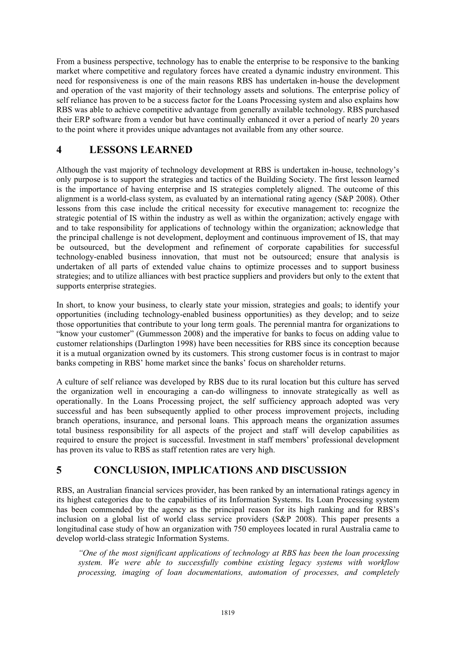From a business perspective, technology has to enable the enterprise to be responsive to the banking market where competitive and regulatory forces have created a dynamic industry environment. This need for responsiveness is one of the main reasons RBS has undertaken in-house the development and operation of the vast majority of their technology assets and solutions. The enterprise policy of self reliance has proven to be a success factor for the Loans Processing system and also explains how RBS was able to achieve competitive advantage from generally available technology. RBS purchased their ERP software from a vendor but have continually enhanced it over a period of nearly 20 years to the point where it provides unique advantages not available from any other source.

## **4 LESSONS LEARNED**

Although the vast majority of technology development at RBS is undertaken in-house, technology's only purpose is to support the strategies and tactics of the Building Society. The first lesson learned is the importance of having enterprise and IS strategies completely aligned. The outcome of this alignment is a world-class system, as evaluated by an international rating agency (S&P 2008). Other lessons from this case include the critical necessity for executive management to: recognize the strategic potential of IS within the industry as well as within the organization; actively engage with and to take responsibility for applications of technology within the organization; acknowledge that the principal challenge is not development, deployment and continuous improvement of IS, that may be outsourced, but the development and refinement of corporate capabilities for successful technology-enabled business innovation, that must not be outsourced; ensure that analysis is undertaken of all parts of extended value chains to optimize processes and to support business strategies; and to utilize alliances with best practice suppliers and providers but only to the extent that supports enterprise strategies.

In short, to know your business, to clearly state your mission, strategies and goals; to identify your opportunities (including technology-enabled business opportunities) as they develop; and to seize those opportunities that contribute to your long term goals. The perennial mantra for organizations to "know your customer" (Gummesson 2008) and the imperative for banks to focus on adding value to customer relationships (Darlington 1998) have been necessities for RBS since its conception because it is a mutual organization owned by its customers. This strong customer focus is in contrast to major banks competing in RBS' home market since the banks' focus on shareholder returns.

A culture of self reliance was developed by RBS due to its rural location but this culture has served the organization well in encouraging a can-do willingness to innovate strategically as well as operationally. In the Loans Processing project, the self sufficiency approach adopted was very successful and has been subsequently applied to other process improvement projects, including branch operations, insurance, and personal loans. This approach means the organization assumes total business responsibility for all aspects of the project and staff will develop capabilities as required to ensure the project is successful. Investment in staff members' professional development has proven its value to RBS as staff retention rates are very high.

## **5 CONCLUSION, IMPLICATIONS AND DISCUSSION**

RBS, an Australian financial services provider, has been ranked by an international ratings agency in its highest categories due to the capabilities of its Information Systems. Its Loan Processing system has been commended by the agency as the principal reason for its high ranking and for RBS's inclusion on a global list of world class service providers (S&P 2008). This paper presents a longitudinal case study of how an organization with 750 employees located in rural Australia came to develop world-class strategic Information Systems.

*"One of the most significant applications of technology at RBS has been the loan processing system. We were able to successfully combine existing legacy systems with workflow processing, imaging of loan documentations, automation of processes, and completely*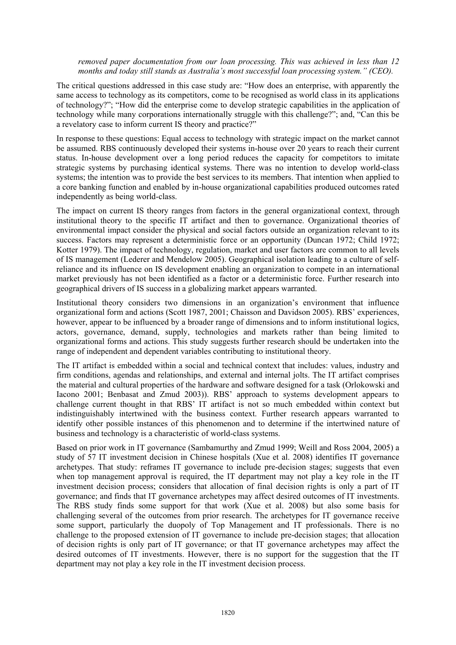*removed paper documentation from our loan processing. This was achieved in less than 12 months and today still stands as Australia's most successful loan processing system." (CEO).* 

The critical questions addressed in this case study are: "How does an enterprise, with apparently the same access to technology as its competitors, come to be recognised as world class in its applications of technology?"; "How did the enterprise come to develop strategic capabilities in the application of technology while many corporations internationally struggle with this challenge?"; and, "Can this be a revelatory case to inform current IS theory and practice?"

In response to these questions: Equal access to technology with strategic impact on the market cannot be assumed. RBS continuously developed their systems in-house over 20 years to reach their current status. In-house development over a long period reduces the capacity for competitors to imitate strategic systems by purchasing identical systems. There was no intention to develop world-class systems; the intention was to provide the best services to its members. That intention when applied to a core banking function and enabled by in-house organizational capabilities produced outcomes rated independently as being world-class.

The impact on current IS theory ranges from factors in the general organizational context, through institutional theory to the specific IT artifact and then to governance. Organizational theories of environmental impact consider the physical and social factors outside an organization relevant to its success. Factors may represent a deterministic force or an opportunity (Duncan 1972; Child 1972; Kotter 1979). The impact of technology, regulation, market and user factors are common to all levels of IS management (Lederer and Mendelow 2005). Geographical isolation leading to a culture of selfreliance and its influence on IS development enabling an organization to compete in an international market previously has not been identified as a factor or a deterministic force. Further research into geographical drivers of IS success in a globalizing market appears warranted.

Institutional theory considers two dimensions in an organization's environment that influence organizational form and actions (Scott 1987, 2001; Chaisson and Davidson 2005). RBS' experiences, however, appear to be influenced by a broader range of dimensions and to inform institutional logics, actors, governance, demand, supply, technologies and markets rather than being limited to organizational forms and actions. This study suggests further research should be undertaken into the range of independent and dependent variables contributing to institutional theory.

The IT artifact is embedded within a social and technical context that includes: values, industry and firm conditions, agendas and relationships, and external and internal jolts. The IT artifact comprises the material and cultural properties of the hardware and software designed for a task (Orlokowski and Iacono 2001; Benbasat and Zmud 2003)). RBS' approach to systems development appears to challenge current thought in that RBS' IT artifact is not so much embedded within context but indistinguishably intertwined with the business context. Further research appears warranted to identify other possible instances of this phenomenon and to determine if the intertwined nature of business and technology is a characteristic of world-class systems.

Based on prior work in IT governance (Sambamurthy and Zmud 1999; Weill and Ross 2004, 2005) a study of 57 IT investment decision in Chinese hospitals (Xue et al. 2008) identifies IT governance archetypes. That study: reframes IT governance to include pre-decision stages; suggests that even when top management approval is required, the IT department may not play a key role in the IT investment decision process; considers that allocation of final decision rights is only a part of IT governance; and finds that IT governance archetypes may affect desired outcomes of IT investments. The RBS study finds some support for that work (Xue et al. 2008) but also some basis for challenging several of the outcomes from prior research. The archetypes for IT governance receive some support, particularly the duopoly of Top Management and IT professionals. There is no challenge to the proposed extension of IT governance to include pre-decision stages; that allocation of decision rights is only part of IT governance; or that IT governance archetypes may affect the desired outcomes of IT investments. However, there is no support for the suggestion that the IT department may not play a key role in the IT investment decision process.